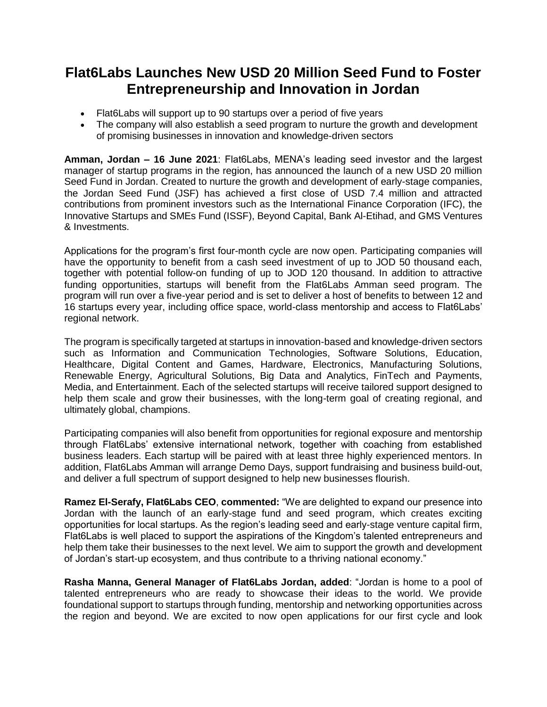## **Flat6Labs Launches New USD 20 Million Seed Fund to Foster Entrepreneurship and Innovation in Jordan**

- Flat6Labs will support up to 90 startups over a period of five years
- The company will also establish a seed program to nurture the growth and development of promising businesses in innovation and knowledge-driven sectors

**Amman, Jordan – 16 June 2021**: Flat6Labs, MENA's leading seed investor and the largest manager of startup programs in the region, has announced the launch of a new USD 20 million Seed Fund in Jordan. Created to nurture the growth and development of early-stage companies, the Jordan Seed Fund (JSF) has achieved a first close of USD 7.4 million and attracted contributions from prominent investors such as the International Finance Corporation (IFC), the Innovative Startups and SMEs Fund (ISSF), Beyond Capital, Bank Al-Etihad, and GMS Ventures & Investments.

Applications for the program's first four-month cycle are now open. Participating companies will have the opportunity to benefit from a cash seed investment of up to JOD 50 thousand each, together with potential follow-on funding of up to JOD 120 thousand. In addition to attractive funding opportunities, startups will benefit from the Flat6Labs Amman seed program. The program will run over a five-year period and is set to deliver a host of benefits to between 12 and 16 startups every year, including office space, world-class mentorship and access to Flat6Labs' regional network.

The program is specifically targeted at startups in innovation-based and knowledge-driven sectors such as Information and Communication Technologies, Software Solutions, Education, Healthcare, Digital Content and Games, Hardware, Electronics, Manufacturing Solutions, Renewable Energy, Agricultural Solutions, Big Data and Analytics, FinTech and Payments, Media, and Entertainment. Each of the selected startups will receive tailored support designed to help them scale and grow their businesses, with the long-term goal of creating regional, and ultimately global, champions.

Participating companies will also benefit from opportunities for regional exposure and mentorship through Flat6Labs' extensive international network, together with coaching from established business leaders. Each startup will be paired with at least three highly experienced mentors. In addition, Flat6Labs Amman will arrange Demo Days, support fundraising and business build-out, and deliver a full spectrum of support designed to help new businesses flourish.

**Ramez El-Serafy, Flat6Labs CEO**, **commented:** "We are delighted to expand our presence into Jordan with the launch of an early-stage fund and seed program, which creates exciting opportunities for local startups. As the region's leading seed and early-stage venture capital firm, Flat6Labs is well placed to support the aspirations of the Kingdom's talented entrepreneurs and help them take their businesses to the next level. We aim to support the growth and development of Jordan's start-up ecosystem, and thus contribute to a thriving national economy."

**Rasha Manna, General Manager of Flat6Labs Jordan, added**: "Jordan is home to a pool of talented entrepreneurs who are ready to showcase their ideas to the world. We provide foundational support to startups through funding, mentorship and networking opportunities across the region and beyond. We are excited to now open applications for our first cycle and look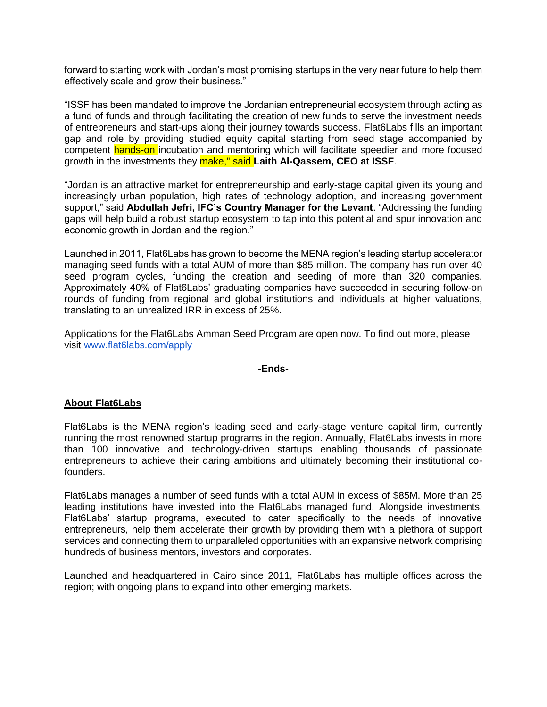forward to starting work with Jordan's most promising startups in the very near future to help them effectively scale and grow their business."

"ISSF has been mandated to improve the Jordanian entrepreneurial ecosystem through acting as a fund of funds and through facilitating the creation of new funds to serve the investment needs of entrepreneurs and start-ups along their journey towards success. Flat6Labs fills an important gap and role by providing studied equity capital starting from seed stage accompanied by competent hands-on incubation and mentoring which will facilitate speedier and more focused growth in the investments they make," said **Laith Al-Qassem, CEO at ISSF**.

"Jordan is an attractive market for entrepreneurship and early-stage capital given its young and increasingly urban population, high rates of technology adoption, and increasing government support," said **Abdullah Jefri, IFC's Country Manager for the Levant**. "Addressing the funding gaps will help build a robust startup ecosystem to tap into this potential and spur innovation and economic growth in Jordan and the region."

Launched in 2011, Flat6Labs has grown to become the MENA region's leading startup accelerator managing seed funds with a total AUM of more than \$85 million. The company has run over 40 seed program cycles, funding the creation and seeding of more than 320 companies. Approximately 40% of Flat6Labs' graduating companies have succeeded in securing follow-on rounds of funding from regional and global institutions and individuals at higher valuations, translating to an unrealized IRR in excess of 25%.

Applications for the Flat6Labs Amman Seed Program are open now. To find out more, please visit [www.flat6labs.com/apply](http://www.flat6labs.com/apply)

## **-Ends-**

## **About Flat6Labs**

Flat6Labs is the MENA region's leading seed and early-stage venture capital firm, currently running the most renowned startup programs in the region. Annually, Flat6Labs invests in more than 100 innovative and technology-driven startups enabling thousands of passionate entrepreneurs to achieve their daring ambitions and ultimately becoming their institutional cofounders.

Flat6Labs manages a number of seed funds with a total AUM in excess of \$85M. More than 25 leading institutions have invested into the Flat6Labs managed fund. Alongside investments, Flat6Labs' startup programs, executed to cater specifically to the needs of innovative entrepreneurs, help them accelerate their growth by providing them with a plethora of support services and connecting them to unparalleled opportunities with an expansive network comprising hundreds of business mentors, investors and corporates.

Launched and headquartered in Cairo since 2011, Flat6Labs has multiple offices across the region; with ongoing plans to expand into other emerging markets.